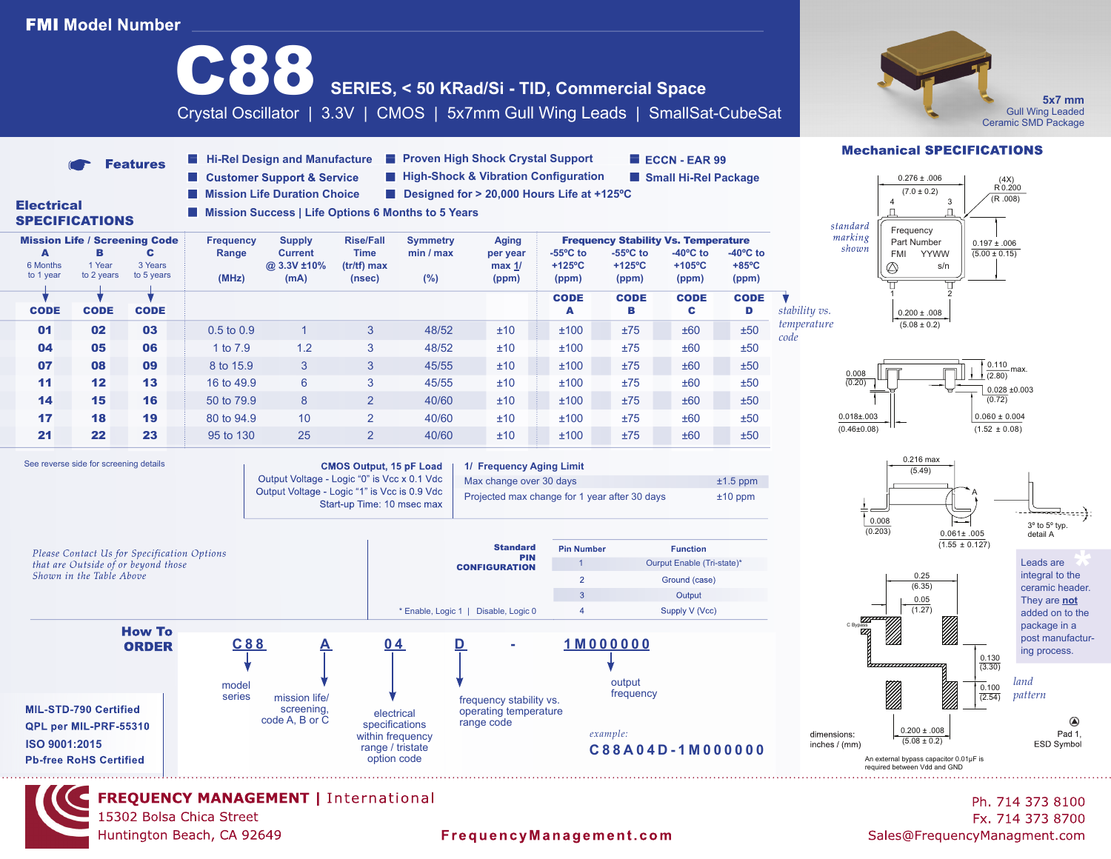# **FMI Model Number**



**FREQUENCY MANAGEMENT | International** 15302 Bolsa Chica Street Huntington Beach, CA 92649

## FrequencyManagement.com

Dimensions in: inches / (mm) Fx. 714 373 8700 Sales@FrequencyManagment.com

*land* They are **not** added on to the

package in a post manufacturing process.

*land pattern*

3º to 5º typ.

⋥……

 $\circledR$ 

Pad 1,

ESD Symbol

detail A

Leads are integral to the Leads are<br>integral to the<br>ceramic header.

**5x7 mm**